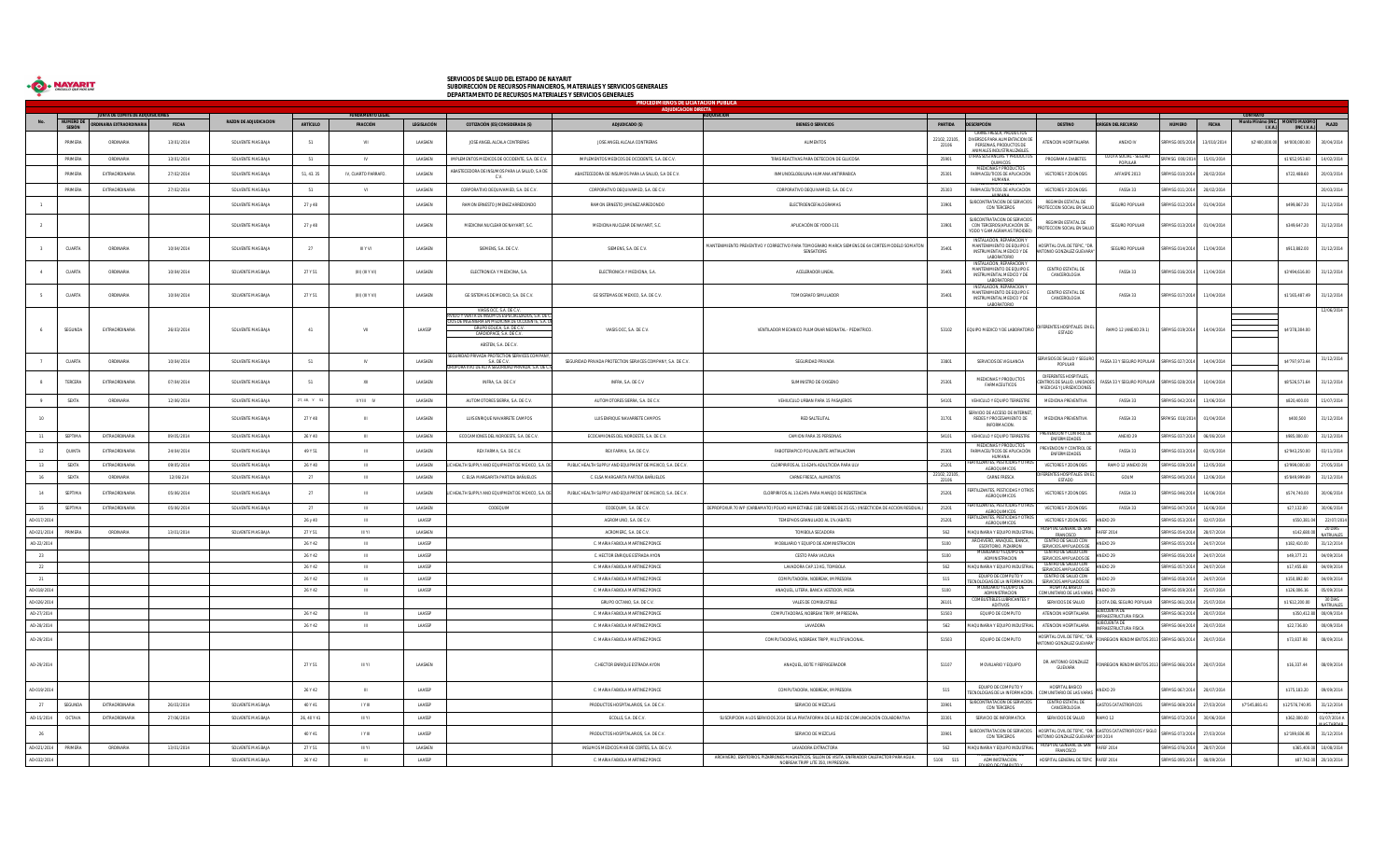

## SERVICIOS DE SALUD DEL ESTADO DE NAYARIT<br>SUBDIRECCIÓN DE RECURSOS FINANCIEROS, MATERIALES Y SERVICIOS GENERALES<br>DEPARTAMENTO DE RECURSOS MATERIALES Y SERVICIOS GENERALES

|             | PROCEDIMIENOS DE LICIATACION PÚBLICA<br><b>ADJUDICACIÓN DIRECTA</b> |                          |            |                              |                 |                     |                |                                                                                                                                                                                                                                        |                                                             |                                                                                                              |                       |                                                                                                  |                                                                                    |                                              |                 |              |                                 |                 |                         |
|-------------|---------------------------------------------------------------------|--------------------------|------------|------------------------------|-----------------|---------------------|----------------|----------------------------------------------------------------------------------------------------------------------------------------------------------------------------------------------------------------------------------------|-------------------------------------------------------------|--------------------------------------------------------------------------------------------------------------|-----------------------|--------------------------------------------------------------------------------------------------|------------------------------------------------------------------------------------|----------------------------------------------|-----------------|--------------|---------------------------------|-----------------|-------------------------|
|             | NUMERO DE                                                           | UNTA DE COMITÉ DE ADO    |            | <b>RAZON DE ADJUDICACION</b> |                 |                     |                |                                                                                                                                                                                                                                        |                                                             |                                                                                                              |                       |                                                                                                  |                                                                                    |                                              |                 |              | Monto Minimo (INC. MONTO MAXIMO |                 |                         |
|             |                                                                     | ORDINARIA EXTRAORDINARI. | FECHA      |                              | <b>ARTÍCULO</b> | FRACCIÓN            | LEGISLACIÓN    | COTIZACIÓN (ES) CONSIDERADA (S)                                                                                                                                                                                                        | ADJUDICADO (S)                                              | <b>BIENES O SERVICIOS</b>                                                                                    | PARTIDA               | <b>SCRIPCIÓN</b><br>CARNE ERESCA, PRODUCTOS                                                      | <b>DESTINO</b>                                                                     | <b>RÍGEN DEL RECURSO</b>                     | <b>NÚMERO</b>   | <b>FECHA</b> | I.V.A.                          |                 | $(INC I.V.A.)$ PLAZO    |
|             | PRIMERA                                                             | ORDINARIA                | 13/01/2014 | SOLVENTE MAS RAIA            | 51              | VII                 | <b>LAASAEN</b> | JOSE ANGEL ALCALA CONTRERAS                                                                                                                                                                                                            | JOSE ANGEL ALCALA CONTRERAS                                 | ALIMENTOS                                                                                                    | 22102.22105.<br>22106 | <b>IVERSOS PARA ALIMENTACION DE</b><br>PERSONAS, PRODUCTOS DE<br>NIMALES INDUSTRIALIZAR          | ATENCION HOSPITALARIA                                                              | ANEXO IV                                     | REMSG 005/201   | 13/010/2014  | \$2'400,000.00                  | \$4'000,000.00  | 30/04/2014              |
|             | PRIMERA                                                             | ORDINARIA                | 13/01/2014 | SOLVENTE MAS BAJA            | 51              | <b>IV</b>           | LAASAEN        | IMPLEMENTOS MEDICOS DE OCCIDENTE. S.A. DE C.V.                                                                                                                                                                                         | IMPLEMENTOS MEDICOS DE OCCIDENTE. S.A. DE C.V.              | TIRAS REACTIVAS PARA DETECCION DE GLUCOSA                                                                    | 25901                 | AS SUSTANCIAS Y PRODUC<br>QUIMICOS<br>MEDICINAS Y PRODUCTOS                                      | PROGRAMA DIABETES                                                                  | CUOTA SOCIAL - SEGI<br>POPULAR               | RFMSG 008/2014  | 15/01/2014   |                                 | \$1'652,953.60  | 14/02/2014              |
|             | PRIMERA                                                             | EXTRAORDINARIA           | 27/02/2014 | SOLVENTE MAS BAJA            | 51, 43.35       | IV, CUARTO PARRAFO. | LAASAEN        | ABASTECEDORA DE INSUMOS PARA LA SALUD. S.A DI<br>C.V.                                                                                                                                                                                  | ABASTECEDORA DE INSUMOS PARA LA SALUD, S.A DE C.V.          | INMUNOGLOBULINA HUMANA ANTIRRABICA                                                                           | 25301                 | <b>IRMACEUTICOS DE APLICACIÓN</b><br><b>HUMANA</b>                                               | VECTORES Y ZOONOSIS                                                                | AFFASPE 2013                                 | FMSG 010/201    | 28/02/201    |                                 | \$722,488.60    | 20/03/2014              |
|             | PRIMERA                                                             | EXTRAORDINARIA           | 27/02/2014 | SOLVENTE MAS BAJA            | 51              |                     | LAASAEN        | CORPORATIVO DEQUIVAMED, S.A. DE C.V                                                                                                                                                                                                    | CORPORATIVO DEQUIVAMED, S.A. DE C.V                         | CORPORATIVO DEQUIVAMED, S.A. DE C.V.                                                                         | 25303                 | <b>VIELALINAS T PRODI</b><br>ARMACEUTICOS DE APLICACIÓN                                          | VECTORES Y ZOONOS!                                                                 | FASSA 33                                     | RFMSG 011/2014  | 28/02/2014   |                                 |                 | 20/03/2014              |
|             |                                                                     |                          |            | SOLVENTE MAS BAJA            | 27 y 48         |                     | LAASAEN        | RAMON ERNESTO JIMENEZ ARREDONDO                                                                                                                                                                                                        | RAMON ERNESTO JIMENEZ ARREDONDO                             | ELECTROENCEFALOGRAMAS                                                                                        | 33901                 | SUBCONTRATACION DE SERVICIOS<br>CON TERCEROS                                                     | <b>REGIMEN ESTATAL DE</b><br>ROTECCION SOCIAL EN SALU                              | SEGURO POPULAR                               | FMSG 012/2014   | 01/04/2014   |                                 | \$499,867.20    | 31/12/2014              |
|             |                                                                     |                          |            | SOLVENTE MAS BAJA            | 27 y 48         |                     | LAASAEN        | MEDICINA NUCLEAR DE NAYARIT. S.C.                                                                                                                                                                                                      | MEDICINA NUCLEAR DE NAYARIT. S.C                            | APLICACIÓN DE YODO-131                                                                                       | 33901                 | SUBCONTRATACION DE SERVICIOS<br>CON TERCEROS(APLICACIÓN DE<br>YODO Y GAMAGRAMAS TIROIDEO)        | REGIMEN ESTATAL DE<br>ROTECCION SOCIAL EN SALI                                     | SEGURO POPULAR                               | MSG 013/2014    | 01/04/2014   |                                 | \$349,647.20    | 31/12/2014              |
|             | CUARTA                                                              | ORDINARIA                | 10/04/2014 | SOLVENTE MAS BAJA            | 27              | <b>III Y VI</b>     | LAASAEN        | SIEMENS, S.A. DE C.V.                                                                                                                                                                                                                  | SIEMENS, S.A. DE C.V.                                       | MANTENIMIENTO PREVENTIVO Y CORRECTIVO PARA TOMOGRARO MARCA SIEMENS DE 64 CORTES MODELO SOMATON<br>SENSATIONS | 35401                 | INSTALACION. REPARACION'<br>MANTENIMIENTO DE EQUIPO E<br>INSTRUMENTAL MEDICO Y DE<br>LABORATORIO | HOSPITAL CIVIL DE TEPIC, "DF<br>TONIO GONZALEZ GUEVAR                              | SEGURO POPULAR                               | RFMSG 014/2014  | 11/04/2014   |                                 | \$913,882.00    | 31/12/2014              |
|             | CUARTA                                                              | ORDINARIA                | 10/04/2014 | SOLVENTE MAS BAJA            | 27 Y 51         | (III) (III Y VI)    | LAASAEN        | ELECTRONICA Y MEDICINA, S.A.                                                                                                                                                                                                           | ELECTRONICA Y MEDICINA, S.A.                                | ACELERADOR LINEAL                                                                                            | 35401                 | NSTALACION, REPARACION<br>MANTENIMIENTO DE FOLUPO E<br>INSTRUMENTAL MEDICO Y DE<br>LABORATORIO   | CENTRO ESTATAL DE<br>CANCEROLOGIA                                                  | FASSA 33                                     | RFMSG 016/2014  | 11/04/2014   |                                 | \$3'494,616.00  | 31/12/2014              |
|             | CUARTA                                                              | ORDINARIA                | 10/04/2014 | SOLVENTE MAS BAJA            | 27 Y 51         | (III) (III Y VI)    | LAASAEN        | GE SISTEMAS DE MEXICO, S.A. DE C.V.                                                                                                                                                                                                    | GE SISTEMAS DE MEXICO, S.A. DE C.V.                         | TOMOGRAFO SIMULADOR                                                                                          | 35401                 | NSTALACION. REPARACIO<br>MANTENIMIENTO DE EQUIPO E<br>INSTRUMENTAL MEDICO Y DE<br>LABORATORIO    | CENTRO ESTATAL DE<br>CANCEROLOGIA                                                  | FASSA 33                                     | RFMSG 017/2014  | 11/04/2014   |                                 | \$1'165,487.49  | 31/12/2014              |
|             | SEGUNDA                                                             | <b>EXTRAORDINARIA</b>    | 26/03/2014 | SOLVENTE MAS RAIA            | 41              | VII                 | <b>LAASSP</b>  | VIASIS OCC, S.A. DE C.V<br><b>RVICIO Y VENTA DE INSUMOS ESPECIALIZADOS, S.A. DE C</b><br>ICIOS DE INGENIERIA EN MEDICINA DE OCCIDENTE, S.A. DI<br><b>GRUPO EQUICA, S.A. DE C.V.</b><br>CARDIOPACE, S.A. DE C.V<br>ABSTEN, S.A. DE C.V. | VIASIS OCC. S.A. DE C.V.                                    | VENTILADOR MECANICO PHI MONAR NEONATAL - PEDIATRICO                                                          | 53102                 | QUIPO MEDICO Y DE LABORATORIO DIFERENTES HOSPITALES EN E                                         | ESTADO                                                                             | RAMO 12 (ANEXO 29.1)                         | SRFMSG 019/2014 | 14/04/2014   |                                 | \$4'378.304.00  |                         |
|             | CUARTA                                                              | ORDINARIA                | 10/04/2014 | SOLVENTE MAS RAIA            | 51              | IV                  | LAASAEN        | RIDAD PRIVADA PROTECTION SERVICES COMPAI<br>S.A. DE C.V<br>ROPORATIVO DE ALTA SEGURIDAD PRIVADA. S.A. DE C                                                                                                                             | SEGURIDAD PRIVADA PROTECTION SERVICES COMPANY. S.A. DE C.V. | SEGURIDAD PRIVADA                                                                                            | 33801                 | SERVICIOS DE VIGILANCIA                                                                          | ERVISIOS DE SALUD Y SEGUR<br>POPULAR                                               | ASSA 33 Y SEGURO POPULAR SRFMSG 027/2014     |                 | 14/04/2014   |                                 | \$4'797 973 44  | 31/12/2014              |
|             | TERCERA                                                             | EXTRAORDINARIA           | 07/04/2014 | SOLVENTE MAS BAJA            | 51              | XII                 | LAASAEN        | INFRA, S.A. DE C.V                                                                                                                                                                                                                     | INFRA, S.A. DE C.V                                          | SUMINISTRO DE OXIGENO                                                                                        | 25301                 | MEDICINAS Y PRODUCTOS<br>FARMACEUTICOS                                                           | DIFERENTES HOSPITALES<br><b>ITROS DE SALUD, UNIDAD</b><br>MEDICAS Y JURISDICCIONES | ASSA 33 Y SEGURO POPULAR                     | RFMSG 028/2014  | 10/04/2014   |                                 | \$8'526,571.64  | 31/12/2014              |
|             | SEXTA                                                               | ORDINARIA                | 12/06/2014 | SOLVENTE MAS BAJA            | $27, 48, Y = 6$ | <b>ILY III</b> IV   | LAASAEN        | AUTOMOTORES SIERRA, S.A. DE C.V.                                                                                                                                                                                                       | AUTOMOTORES SIERRA, S.A. DE C.V                             | VEHIUCULO URBAN PARA 15 PASAJEROS                                                                            | 54101                 | VEHICULO Y EQUIPO TERRESTRE                                                                      | MEDICINA PREVENTIVA                                                                | FASSA 33                                     | RFMSG 042/2014  | 13/06/2014   |                                 | \$820,400.00    | 15/07/2014              |
|             |                                                                     |                          |            | SOLVENTE MAS BAJA            | 27 Y 48         | $\mathbb{H}$        | LAASAEN        | LUIS ENRIQUE NAVARRETE CAMPOS                                                                                                                                                                                                          | LUIS ENRIQUE NAVARRETE CAMPOS                               | RED SALTELITAL                                                                                               | 31701                 | SERVICIO DE ACCESO DE INTERNET<br>REDES Y PROCESAMIENTO DE<br>INFORMACION.                       | MEDICINA PREVENTIVA                                                                | FASSA 33                                     | RFMSG 018/2014  | 01/04/2014   |                                 | \$400,500       | 31/12/2014              |
| 11          | SEPTIMA                                                             | EXTRAORDINARIA           | 09/05/2014 | SOLVENTE MAS BAJA            | 26 Y 40         | <b>THE</b>          | LAASAEN        | ECOCAMIONES DEL NOROESTE. S.A. DE C.V.                                                                                                                                                                                                 | ECOCAMIONES DEL NOROESTE. S.A. DE C.V.                      | CAMION PARA 35 PERSONAS                                                                                      | 54101                 | VEHICULO Y EQUIPO TERRESTRE                                                                      | VENCION Y CONTROI<br>ENFERMEDADES                                                  | ANEXO 29                                     | SRFMSG 037/2014 | 06/06/2014   |                                 | \$985,000.00    | 31/12/2014              |
|             | QUINTA                                                              | EXTRAORDINARIA           | 24/04/2014 | SOLVENTE MAS BAJA            | 49 Y 51         |                     | LAASAEN        | REX FARMA, S.A. DE C.V.                                                                                                                                                                                                                | REX FARMA, S.A. DE C.V.                                     | FABOTERAPICO POLIVALENTE ANTIALACRAN                                                                         | 25301                 | MEDICINAS Y PRODUCTOS<br><b>IRMACEUTICOS DE APLICACIÓN</b><br>HUMANA                             | PREVENCION Y CONTROL D<br>ENFERMEDADES                                             | FASSA 33                                     | RFMSG 033/201   | 02/05/201    |                                 | \$2'943,250.00  | 03/11/2014              |
| 13          | SEXTA                                                               | EXTRAORDINARIA           | 09/05/2014 | SOLVENTE MAS BAJA            | 26 Y 40         | $\mathbf{m}$        | LAASAEN        | LIC HEALTH SUPPLY AND EQUIPMENT DE MEXICO. S.A. DE                                                                                                                                                                                     | PUBLIC HEALTH SUPPLY AND EQUIPMENT DE MEXICO. S.A. DE C.V.  | CLORPIRIFOS AL 13.624% ADULTICIDA PARA ULV                                                                   | 25201                 | <b><i>EANTES, PESTICIDAS Y</i></b><br>AGROQUIMICOS                                               | VECTORES Y ZOONOSIS                                                                | RAMO 12 (ANEXO 29)                           | SRFMSG 039/2014 | 12/05/2014   |                                 | \$3'999.000.00  | 27/05/2014              |
| 16          | SEXTA                                                               | ORDINARIA                | 12/06/214  | SOLVENTE MAS BAJA            | 27              | $\mathbf{H}$        | LAASAEN        | C. ELSA MARGARITA PARTIDA BAÑUELOS                                                                                                                                                                                                     | C. ELSA MARGARITA PARTIDA BAÑUELOS                          | CARNE FRESCA, ALIMENTOS                                                                                      | 22102.22105<br>22106  | CARNE FRESCA                                                                                     | ERENTES HOSPITALES EN<br>ESTADO                                                    | GOUM                                         | RFMSG 045/2014  | 12/06/2014   |                                 | \$5'849.999.89  | 31/12/2014              |
| 14          | SEPTIMA                                                             | EXTRAORDINARIA           | 05/06/2014 | SOLVENTE MAS BAJA            | 27              | $\mathbb{H}$        | LAASAEN        | LIC HEALTH SUPPLY AND EQUIPMENT DE MEXICO. S.A. DE                                                                                                                                                                                     | PUBLIC HEALTH SUPPLY AND EQUIPMENT DE MEXICO. S.A. DE C.V.  | CLORPIRIFOS AL 13.624% PARA MANEJO DE RESISTENCIA                                                            | 25201                 | TILIZANTES, PESTICIDAS Y OTROS<br>AGROQUIMICOS                                                   | VECTORES Y ZOONOSIS                                                                | FASSA 33                                     | SRFMSG 046/2014 | 16/06/2014   |                                 | \$574,740.00    | 30/06/2014              |
| 15          | SEPTIMA                                                             | EXTRAORDINARIA           | 05/06/2014 | SOLVENTE MAS BAJA            | 27              | $\mathbf{H}$        | LAASAEN        | CODEQUIM                                                                                                                                                                                                                               | CODEQUIM, S.A. DE C.V.                                      | DEPROPOXUR 70 WP (CARBAMATO) POLVO HUMECTABLE (180 SOBRES DE 25 GS.) (INSECTICIDA DE ACCION RESIDUAL)        | 25201                 | <b>IZANTES, PESTICIDAS Y OTRO</b><br>AGROQUIMICOS                                                | VECTORES Y ZOONOSIS                                                                | FASSA 33                                     | SRFMSG 047/2014 | 16/06/2014   |                                 | \$27.132.00     | 30/06/2014              |
| AD-017/2014 |                                                                     |                          |            |                              | 26 y 40         | $\mathbf{m}$        | LAASSP         |                                                                                                                                                                                                                                        | AGROMUNO, S.A. DE C.V.                                      | TEMEPHOS GRANLILADO AL 1% (ARATE)                                                                            | 25201                 | TILIZANTES, PESTICIDAS Y OTRO!<br>AGROQUIMICOS                                                   | VECTORES Y ZOOMOSIS                                                                | NEYO 20                                      | REMSG 053/2014  | 02/07/2014   |                                 | \$550,381.04    | 22/07/201               |
| AD-021/2014 | PRIMERA                                                             | ORDINARIA                | 13/01/2014 | SOLVENTE MAS BAJA            | 27 Y 51         | IIIY1               | LAASAEN        |                                                                                                                                                                                                                                        | ACROMERC, S.A. DE C.V.                                      | TOMBOLA SECADORA                                                                                             | 562                   | AQUINARIA Y EQUIPO INDUSTRIAL                                                                    | HOSPITAL GENERAL DE SAN<br>FRANCISCO                                               | AFEF 2014                                    | RFMSG 054/2014  | 28/07/2014   |                                 | \$142,680.00    | 20 DIAS<br>NATRUALES    |
| AD-22/2014  |                                                                     |                          |            |                              | 26 Y 42         | $\mathbf{H}$        | LAASSP         |                                                                                                                                                                                                                                        | C. MARIA FABIOLA MARTINEZ PONCE                             | MOBILIARIO Y EQUIPO DE ADMINISTRACION                                                                        | 5100                  | RCHIVERO, ANAQUEL, BANCA<br>ESCRITORIO, PIZARRON                                                 | CENTRO DE SALUD CON<br>SERVICIOS AMPLIADOS DE                                      | ANEXO 29                                     | SRFMSG 055/2014 | 24/07/2014   |                                 | \$182,410.00    | 31/12/2014              |
| - 23        |                                                                     |                          |            |                              | 26 Y 42         | $\mathbf{H}$        | LAASSP         |                                                                                                                                                                                                                                        | C. HECTOR ENRIQUE ESTRADA AYON                              | CESTO PARA VACUNA                                                                                            | 5100                  | MOBILIARIO Y EQUIPO DE                                                                           | CENTRO DE SALUD CON<br>SERVICIOS AMPLIADOS DE                                      | MEXO 29                                      | SRFMSG 056/2014 | 24/07/2014   |                                 | \$49,377.21     | 04/09/2014              |
| 22          |                                                                     |                          |            |                              | 26 Y 42         | $\mathbf{m}$        | LAASSP         |                                                                                                                                                                                                                                        | C. MARIA FABIOLA MARTINEZ PONCE                             | LAVADORA CAP.13 KG. TOMBOLA                                                                                  | 562                   | ADMINISTRACION<br>MAQUINARIA Y EQUIPO INDUSTRIAL                                                 | CENTRO DE SALUD CON                                                                | MEXO 29                                      | SRFMSG 057/2014 | 24/07/2014   |                                 | \$17,455.68     | 04/09/2014              |
| 21          |                                                                     |                          |            |                              | 26 Y 42         | $\mathbf{H}$        | LAASSP         |                                                                                                                                                                                                                                        | C. MARIA FABIOLA MARTINEZ PONCE                             | COMPUTADORA, NOBREAK, IMPRESORA                                                                              | 515                   | EQUIPO DE COMPUTO Y                                                                              | SERVICIOS AMPLIADOS<br>CENTRO DE SALUD CON                                         | NEXO 29                                      | RFMSG 058/2014  | 24/07/201    |                                 | \$150,892.80    | 04/09/2014              |
| AD-018/2014 |                                                                     |                          |            |                              | 26 Y 42         | $\mathbf{H}$        | LAASSP         |                                                                                                                                                                                                                                        | C. MARIA FABIOLA MARTINEZ PONCE                             | ANAQUEL, LITERA, BANCA VESTIDOR, MESA                                                                        | 5100                  | NOLOGIAS DE LA INFORMACION.<br>MOBILIARIO Y EQUIPO DE                                            | SERVICIOS AMPLIADOS DE<br><b>HOSPITAL BASICO</b>                                   | VEXO 29                                      | RFMSG 059/2014  | 25/07/201    |                                 | \$126,006.16    | 05/09/2014              |
|             |                                                                     |                          |            |                              |                 |                     |                |                                                                                                                                                                                                                                        |                                                             |                                                                                                              |                       | <b>ADMINISTRACION</b><br><b>MBUSTIBLES LUBRICA</b>                                               | OMUNITARIO DE LAS VAR.                                                             |                                              |                 |              |                                 |                 | 30 DIAS                 |
| AD-026/2014 |                                                                     |                          |            |                              |                 |                     |                |                                                                                                                                                                                                                                        | GRUPO OCTANO, S.A. DE C.V.                                  | VALES DE COMBUSTIBLE                                                                                         | 26101                 | ADITIVOS                                                                                         | SERVICIOS DE SALUD                                                                 | JOTA DEL SEGURO POPULAR<br><b>BCUENTA DE</b> | SRFMSG 061/2014 | 25/07/2014   |                                 | \$1'612,200.00  | NATRUALES               |
| AD-27/2014  |                                                                     |                          |            |                              | 26 Y 42         | $\mathbf{m}$        | LAASSP         |                                                                                                                                                                                                                                        | C. MARIA FABIOLA MARTINEZ PONCE                             | COMPUTADORAS, NOBREAK TRIPP, IMPRESORA                                                                       | 51503                 | EQUIPO DE COMPUTO                                                                                | ATENCION HOSPITALARIA                                                              | RAESTRUCTURA FISIO<br><b>BCUENTA DE</b>      | RFMSG 063/2014  | 28/07/2014   |                                 |                 | \$350.412.80 08/09/2014 |
| AD-28/2014  |                                                                     |                          |            |                              | 26 Y 42         | $\mathbf{H}$        | LAASSP         |                                                                                                                                                                                                                                        | C. MARIA FARIOLA MARTINEZ PONCE                             | <b>LAVADORA</b>                                                                                              | 562                   | AQUINARIA Y EQUIPO INDUSTRIAL                                                                    | ATENCION HOSPITALARIA                                                              | <b>FRAESTRUCTURA FISICA</b>                  | RFMSG 064/2014  | 28/07/2014   |                                 | \$22,736.00     | 08/09/2014              |
| AD-29/2014  |                                                                     |                          |            |                              |                 |                     |                |                                                                                                                                                                                                                                        | C. MARIA FABIOLA MARTINEZ PONCE                             | COMPUTADORAS, NOBREAK TRIPP, MULTIFUNCIONAL                                                                  | 51503                 | EQUIPO DE COMPUTO                                                                                | OSPITAL CIVIL DE TEPIC, "E<br>NTONIO GONZALEZ GUEVARA                              | NREGION RENDIMIENTOS 2013 SRFMSG 065/2014    |                 | 28/07/2014   |                                 | \$73,837.98     | 08/09/2014              |
| AD-29/2014  |                                                                     |                          |            |                              | 27 Y 51         | <b>ILY L</b>        | LAASAEN        |                                                                                                                                                                                                                                        | C.HECTOR ENRIQUE ESTRADA AYON                               | ANAQUEL. BOTE Y REFRIGERADOR                                                                                 | 51107                 | MOVILIARIO Y EQUIPO                                                                              | DR. ANTONIO GONZALEZ<br>GUEVARA                                                    | NREGION RENDIMIENTOS 2013 SRFMSG 066/2014    |                 | 28/07/2014   |                                 | \$16,337.44     | 08/09/2014              |
| AD-019/2014 |                                                                     |                          |            |                              | 26 Y 42         | $\mathbb{H}$        | LAASSP         |                                                                                                                                                                                                                                        | C. MARIA FABIOLA MARTINEZ PONCE                             | COMPUTADORA, NOBREAK, IMPRESORA                                                                              | 515                   | EQUIPO DE COMPUTO Y<br>CNOLOGIAS DE LA INFORMACION.                                              | HOSPITAL BASICO<br><b>DMUNITARIO DE LAS VARAS</b>                                  | NEXO 29                                      | SRFMSG 067/2014 | 28/07/2014   |                                 | \$175,183.20    | 09/09/2014              |
| 27          | SEGUNDA                                                             | EXTRAORDINARIA           | 26/03/2014 | SOLVENTE MAS BAJA            | 40 Y 41         | TY III              | LAASSP         |                                                                                                                                                                                                                                        | PRODUCTOS HOSPITALARIOS, S.A. DE C.V.                       | SERVICIO DE MEZCLAS                                                                                          | 33901                 | UBCONTRATACION DE SERVICIOS<br>CON TERCEROS                                                      | CENTRO ESTATAL DE<br>CANCEROLOGIA                                                  | <b>ASTOS CATASTROFICOS</b>                   | SRFMSG 069/2014 | 27/03/2014   | \$7545.881.41                   | \$12'576.740.95 | 31/12/2014              |
| AD-15/2014  | OCTAVA                                                              | EXTRAORDINARIA           | 27/06/2014 | SOLVENTE MAS BAJA            | 26, 40 Y 41     | IIIY1               | LAASSP         |                                                                                                                                                                                                                                        | ECOLLS, S.A. DE C.V.                                        | SUSCRIPCION A LOS SERVICIOS 2014 DE LA PRATAFORMA DE LA RED DE COMUNICACIÓN COLABORATIVA                     | 33301                 | SERVICIO DE INFORMATICA                                                                          | SERVICIOS DE SALUD                                                                 | MO 12                                        | RFMSG 072/2014  | 30/06/2014   |                                 | \$362,000.00    | 01/07/2014 A            |
|             |                                                                     |                          |            |                              | 40 Y 41         | TY III              | LAASSP         |                                                                                                                                                                                                                                        | PRODUCTOS HOSPITALARIOS, S.A. DE C.V.                       | SERVICIO DE MEZCLAS                                                                                          | 33901                 | SUBCONTRATACION DE SERVICIOS<br>CON TERCEROS                                                     | OSPITAL CIVIL DE TEPIC. "DR.<br>NTONIO GONZALEZ GUEVARA" XXI 2014                  | ASTOS CATASTROFICOS Y SIGLO                  | RFMSG 073/2014  | 27/03/2014   |                                 | \$2'199,836.95  | 31/12/2014              |
| AD-021/2014 | PRIMERA                                                             | ORDINARIA                | 13/01/2014 | SOLVENTE MAS BAJA            | 27 Y 51         | <b>IIIYI</b>        | LAASAEN        |                                                                                                                                                                                                                                        | INSUMOS MEDICOS MAR DE CORTES. S.A. DE C.V.                 | LAVADORA EXTRACTORA                                                                                          | 562                   | MAQUINARIA Y EQUIPO INDUSTRIAL                                                                   | HOSPITAL GENERAL DE SAN<br>FRANCISCO                                               | AFEF 2014                                    | SRFMSG 076/2014 | 28/07/2014   |                                 |                 | \$365,400.00 18/08/2014 |
| AD-032/2014 |                                                                     |                          |            | SOLVENTE MAS BAJA            | 26 Y 42         | <b>III</b>          | LAASSP         |                                                                                                                                                                                                                                        | C. MARIA FABIOLA MARTINEZ PONCE                             | ARCHIVERO, ESRITORIOS, PIZARRONES MAGNETICOS, SILLON DE VISITA, ENFRIADOR CALEFACTOR PARA AGUA               | 5100 515              | <b>ADMINISTRACION</b>                                                                            | HOSPITAL GENERAL DE TEPIC FAFEF 2014                                               |                                              | RFMSG 095/2014  | 08/09/2014   |                                 |                 | \$87,742.00 20/10/2014  |
|             |                                                                     |                          |            |                              |                 |                     |                |                                                                                                                                                                                                                                        |                                                             | NOBREAK TRIPP LITE 350, IMPRESORA.                                                                           |                       |                                                                                                  |                                                                                    |                                              |                 |              |                                 |                 |                         |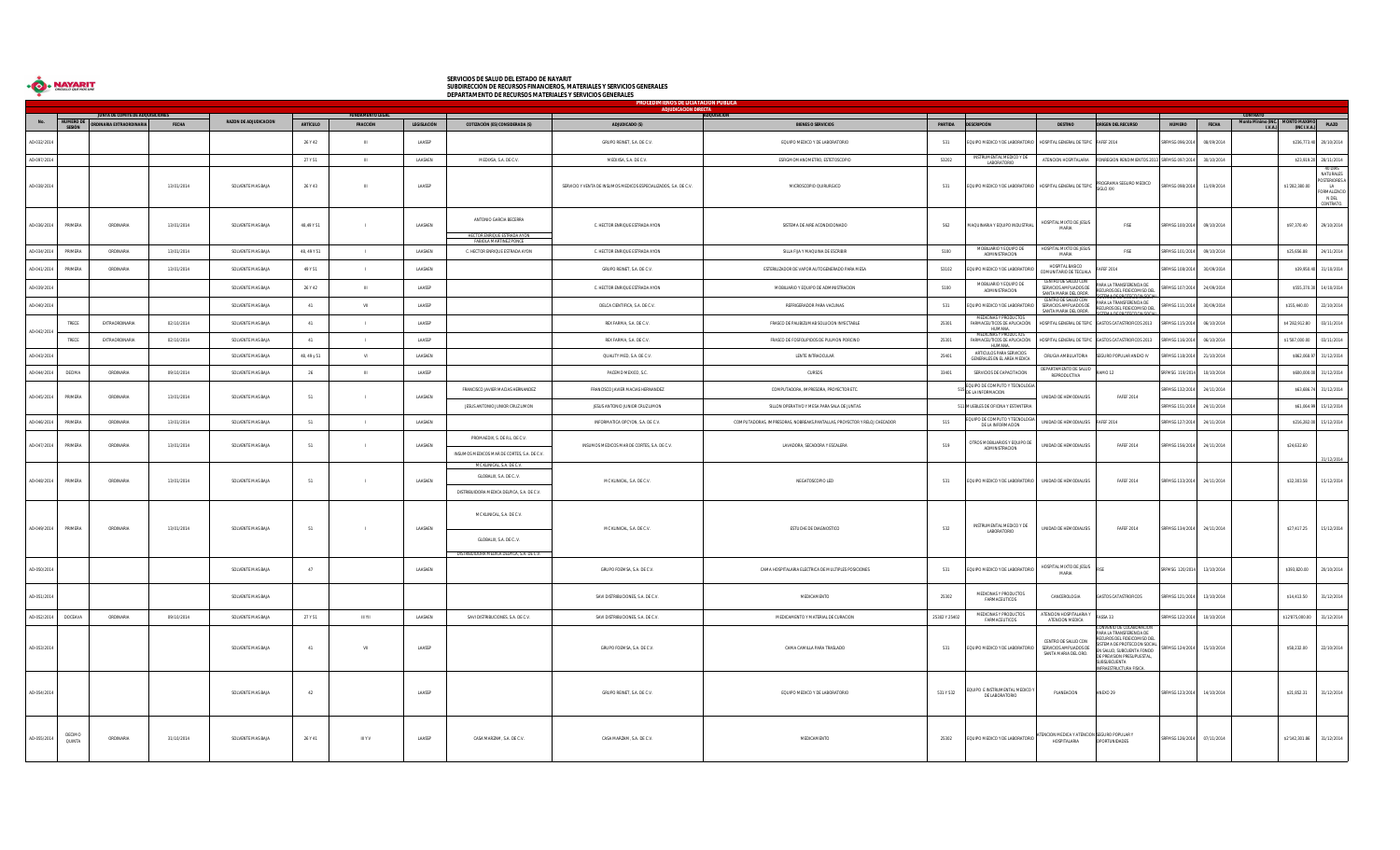| ORGULLO OUE NOS UNE |
|---------------------|
|                     |

## SERVICIOS DE SALUD DEL ESTADO DE NAYARIT<br>SUBDIRECCIÓN DE RECURSOS FINANCIEROS, MATERIALES Y SERVICIOS GENERALES<br>DEPARTAMENTO DE RECURSOS MATERIALES Y SERVICIOS GENERALES

| PROCEDIMIENOS DE LICIATACION PUBLICA<br>ADJUDICACIÓN DIRECTA |                         |                                  |            |                              |                 |                       |                |                                                                                                    |                                                                  |                                                                           |               |                                                                            |                                                                        |                                                                                                                                                                                                    |                 |              |                                       |                           |                                                                                 |
|--------------------------------------------------------------|-------------------------|----------------------------------|------------|------------------------------|-----------------|-----------------------|----------------|----------------------------------------------------------------------------------------------------|------------------------------------------------------------------|---------------------------------------------------------------------------|---------------|----------------------------------------------------------------------------|------------------------------------------------------------------------|----------------------------------------------------------------------------------------------------------------------------------------------------------------------------------------------------|-----------------|--------------|---------------------------------------|---------------------------|---------------------------------------------------------------------------------|
| No.                                                          | NUMERO DE               | JUNTA DE COMITÉ DE ADQUISICIONES |            | <b>RAZON DE ADJUDICACION</b> |                 | <b>UNDAMENTO LEG.</b> |                |                                                                                                    |                                                                  |                                                                           |               |                                                                            |                                                                        |                                                                                                                                                                                                    |                 |              |                                       |                           |                                                                                 |
|                                                              | SESIÓN                  | ORDINARIA EXTRAORDINARIA         | FECHA      |                              | <b>ARTÍCULO</b> | FRACCIÓN              | LEGISLACIÓN    | COTIZACIÓN (ES) CONSIDERADA (S)                                                                    | ADJUDICADO (S)                                                   | <b>BIENES O SERVICIOS</b>                                                 | PARTIDA       | <b>DESCRIPCIÓN</b>                                                         | <b>DESTINO</b>                                                         | ORÍGEN DEL RECURSO                                                                                                                                                                                 | <b>NÚMERO</b>   | <b>FECHA</b> | Monto Minimo (INC. MONTO MAXIMO PLAZO |                           |                                                                                 |
| AD-032/2014                                                  |                         |                                  |            |                              | 26 Y 42         | $\mathbb H$           | LAASSP         |                                                                                                    | GRUPO REINET, S.A. DE C.V.                                       | EQUIPO MEDICO Y DE LABORATORIO                                            | 531           | EQUIPO MEDICO Y DE LABORATORIO HOSPITAL GENERAL DE TEPIC                   | <b>FAFEF 2014</b>                                                      |                                                                                                                                                                                                    | RFMSG 096/2014  | 08/09/2014   |                                       |                           | \$236,773.40 20/10/2014                                                         |
| AD-097/2014                                                  |                         |                                  |            |                              | 27 Y 51         | $\mathbb H$           | LAASAEN        | MEDIXSA, S.A. DE C.V.                                                                              | MEDIXSA, S.A. DE C.V.                                            | ESFIGMOMANOMETRO, ESTETOSCOPIO                                            | 53202         | <b>INSTRUMENTAL MEDICO Y DE</b><br>LABORATORIO                             | ATENCION HOSPITALARIA                                                  | ONREGION RENDIMIENTOS 2013 SRFMSG 097/2014                                                                                                                                                         |                 | 30/10/2014   |                                       |                           | \$23,919.20 28/11/2014                                                          |
| AD-038/2014                                                  |                         |                                  | 13/01/2014 | SOLVENTE MAS BAJA            | 26 Y 43         | $\mathbb H$           | LAASSP         |                                                                                                    | SERVICIO Y VENTA DE INSUMOS MEDICOS ESPECIALIZADOS, S.A. DE C.V. | MICROSCOPIO QUIRURGICO                                                    | 531           | EQUIPO MEDICO Y DE LABORATORIO HOSPITAL GENERAL DE TEPIC                   | SIGLO XXI                                                              | ROGRAMA SEGURO MEDICO                                                                                                                                                                              | SRFMSG 098/2014 | 11/09/2014   |                                       | \$1'282,380.00            | 40 DIAS<br>NATURALES<br>OSTERIORES A<br>LA<br>ORMALIZACIO<br>N DEL<br>CONTRATO. |
| AD-036/2014                                                  | PRIMERA                 | ORDINARIA                        | 13/01/2014 | SOLVENTE MAS BAJA            | 48.49 Y 51      | $\sim$ 1.00           | LAASAEN        | ANTONIO GARCIA BECERRA<br>HECTOR ENRIQUE ESTRADA AYON<br><b>FABIOLA MARTINEZ PONCE</b>             | C. HECTOR ENRIQUE ESTRADA AYON                                   | SISTEMA DE AIRE ACONDICIONADO                                             | 562           | MAQUINARIA Y EQUIPO INDUSTRIAL                                             | HOSPITAL MIXTO DE JESUS<br>MARIA                                       | FISE                                                                                                                                                                                               | SRFMSG 100/2014 | 09/10/2014   |                                       | \$97,370.40               | 29/10/2014                                                                      |
| AD-034/2014                                                  | PRIMERA                 | ORDINARIA                        | 13/01/2014 | SOLVENTE MAS RAJA            | 48.49 Y 51      | $\sim$ 1.1            | LAASAEN        | C. HECTOR ENRIOUE ESTRADA AYON                                                                     | C. HECTOR ENRIOUE ESTRADA AYON                                   | SILLA FUA Y MAOUINA DE ESCRIBIR                                           | 5100          | MOBILIARIO Y EQUIPO DE<br>ADMINISTRACION                                   | HOSPITAL MIXTO DE JESUS<br>MARIA                                       | <b>FISE</b>                                                                                                                                                                                        | SRFMSG 101/2014 | 09/10/2014   |                                       | \$25,656.88               | 24/11/2014                                                                      |
| AD-041/2014                                                  | PRIMERA                 | ORDINARIA                        | 13/01/2014 | SOLVENTE MAS BAJA            | 49 Y 51         | $\sim$ 1.00           | LAASAEN        |                                                                                                    | GRUPO REINET, S.A. DE C.V.                                       | ESTERILIZADOR DE VAPOR AUTOGENERADO PARA MESA                             | 53102         | QUIPO MEDICO Y DE LABORATORIO                                              | HOSPITAL BASICO<br>EF 2014<br>COMUNITARIO DE TECUAL                    |                                                                                                                                                                                                    | RFMSG 108/2014  | 30/09/2014   |                                       |                           | \$39,950.40 31/10/2014                                                          |
| AD-039/2014                                                  |                         |                                  |            | SOLVENTE MAS BAJA            | 26 Y 42         | <b>III</b>            | LAASSP         |                                                                                                    | C. HECTOR ENRIQUE ESTRADA AYON                                   | MOBILIARIO Y EQUIPO DE ADMINISTRACION                                     | 5100          | MOBILIARIO Y EQUIPO DE<br>ADMINISTRACION                                   | CENTRO DE SALUD CON<br>SERVICIOS AMPLIADOS DE<br>SANTA MARIA DEL OROR. | ARA LA TRANSFERENCIA DE<br>CUROS DEL FIDEICOMISO DEL                                                                                                                                               | RFMSG 107/2014  | 24/09/2014   |                                       |                           | \$555,370.30 14/10/2014                                                         |
| AD-040/2014                                                  |                         |                                  |            | SOLVENTE MAS BAJA            | $-41$           | VII                   | LAASSP         |                                                                                                    | DELCA CIENTIFICA, S.A. DE C.V.                                   | REFRIGERADOR PARA VACUNAS                                                 | 531           | EQUIPO MEDICO Y DE LABORATORIO                                             | CENTRO DE SALUD CON<br>SERVICIOS AMPLIADOS DE<br>SANTA MARIA DEL OROR. | ARA LA TRANSFERENCIA DE<br>RECUROS DEL FIDEICOMISO DEL<br>46 DE DROTECCION                                                                                                                         | RFMSG 111/2014  | 30/09/2014   |                                       | \$155,440.00              | 22/10/2014                                                                      |
|                                                              | TRECE                   | EXTRAORDINARIA                   | 02/10/2014 | SOLVENTE MAS BAJA            | 41              | $\blacksquare$        | LAASSP         |                                                                                                    | REX FARMA, S.A. DE C.V.                                          | FRASCO DE PALIBIZUMAB SOLUCION INYECTABLE                                 | 25301         | MEDICINAS Y PRODUCTOS<br>FARMACEUTICOS DE APLICACIÓN                       | HOSPITAL GENERAL DE TEPIC                                              | GASTOS CATASTROFICOS 2013                                                                                                                                                                          | RFMSG 115/2014  | 06/10/2014   |                                       | \$4'282,912.80            | 03/11/2014                                                                      |
| AD-042/2014                                                  | TRECE                   | EXTRAORDINARIA                   | 02/10/2014 | SOLVENTE MAS BAJA            | $-41$           | $\sim$ 1.1            | LAASSP         |                                                                                                    | REX FARMA, S.A. DE C.V.                                          | FRASCO DE FOSFOLIPIDOS DE PULMON PORCINO                                  | 25301         | MEDICINAS Y PRODUCTOS<br>FARMACEUTICOS DE APLICACIÓN<br><b>HUMANA</b>      | HOSPITAL GENERAL DE TEPIC GASTOS CATASTROFICOS 2013                    |                                                                                                                                                                                                    | SRFMSG 116/2014 | 06/10/2014   |                                       | \$1'587,000.00            | 03/11/2014                                                                      |
| AD-043/2014                                                  |                         |                                  |            | SOLVENTE MAS BAJA            | 48, 49 y 51     | VI                    | LAASAEN        |                                                                                                    | QUALITY MED, S.A. DE C.V.                                        | LENTE INTRAOCULAR                                                         | 25401         | ARTICULOS PARA SERVICIOS<br>GENERALES EN EL AREA MEDICA                    | CIRUGIA AMBULATORIA                                                    | <b>SURO POPULAR ANEXO IV</b>                                                                                                                                                                       | RFMSG 118/2014  | 21/10/2014   |                                       |                           | \$862,068.97 31/12/2014                                                         |
| AD-044/2014                                                  | DECIMA                  | ORDINARIA                        | 09/10/2014 | SOLVENTE MAS BAJA            | 26              | <b>III</b>            | LAASSP         |                                                                                                    | PACEMD MEXICO, S.C.                                              | <b>CURSOS</b>                                                             | 33401         | SERVICIOS DE CAPACITACION                                                  | DEPARTAMENTO DE SALUD<br>MO 12<br>REPRODUCTIVA                         |                                                                                                                                                                                                    | SRFMSG 119/2014 | 10/10/2014   |                                       |                           | \$600,000.00 31/12/2014                                                         |
| AD-045/2014                                                  | PRIMERA                 | ORDINARIA                        | 13/01/2014 | SOLVENTE MAS BAJA            | 51              | $\sim$ 1.00           | LAASAEN        | FRANCISCO JAVIER MACIAS HERNANDEZ                                                                  | FRANCISCO JAVIER MACIAS HERNANDEZ                                | COMPUTADORA, IMPRESORA, PROYECTOR ETC.                                    |               | EQUIPO DE COMPUTO Y TECNOLOGIA<br>DE LA INFORMACION                        | UNIDAD DE HEMODIALISIS                                                 | <b>FAFEF 2014</b>                                                                                                                                                                                  | RFMSG 132/2014  | 24/11/2014   |                                       |                           | \$63,686.74 31/12/2014                                                          |
|                                                              |                         |                                  |            |                              |                 |                       |                | JESUS ANTONIO JUNIOR CRUZ LIMON                                                                    | JESUS ANTONIO JUNIOR CRUZ LIMON                                  | SILLON OPERATIVO Y MESA PARA SALA DE JUNTAS                               |               | 511 MUEBLES DE OFICINA Y ESTANTERIA                                        |                                                                        |                                                                                                                                                                                                    | SRFMSG 151/2014 | 24/11/2014   |                                       |                           | \$61,064.99 15/12/2014                                                          |
| AD-046/2014                                                  | PRIMERA                 | ORDINARIA                        | 13/01/2014 | SOLVENTE MAS BAJA            | 51              | $\sim$ 1.00           | LAASAEN        |                                                                                                    | INFORMATICA OPCYON, S.A. DE C.V.                                 | COMPUTADORAS, IMPRESORAS, NOBREAKS, PANTALLAS, PROYECTOR Y RELOJ CHECADOR | 515           | QUIPO DE COMPUTO Y TECNOLOGIA<br>DE LA INFORMACION                         | UNIDAD DE HEMODIALISIS<br><b>AFEF 2014</b>                             |                                                                                                                                                                                                    | RFMSG 127/2014  | 24/11/2014   |                                       |                           | \$216,282.00 15/12/2014                                                         |
| AD-047/2014                                                  | PRIMERA                 | ORDINARIA                        | 13/01/2014 | SOLVENTE MAS BAJA            | 51              | $\mathbf{L}$          | LAASAEN        | PROMAEDIX, S. DE R.L. DE C.V.<br>INSUMOS MEDICOS MAR DE CORTES. S.A. DE C.V.                       | INSUMOS MEDICOS MAR DE CORTES, S.A. DE C.V.                      | LAVADORA, SECADORA Y ESCALERA                                             | 519           | <b>DTROS MOBILIARIOS Y EQUIPO DE</b><br>ADMINISTRACION                     | UNIDAD DE HEMODIALISIS                                                 | <b>FAFEF 2014</b>                                                                                                                                                                                  | SRFMSG 156/2014 | 24/11/2014   |                                       | \$24,632.60               | 31/12/2014                                                                      |
| AD-048/2014                                                  | PRIMERA                 | ORDINARIA                        | 13/01/2014 | SOLVENTE MAS RAJA            | 51              | $\sim$ 1.1            | <b>LAASAEN</b> | MC KLINICAL, S.A. DE C.V.<br>GLOBALIX, S.A. DE C., V.<br>DISTRIBUIDORA MEDICA DELPICA S.A. DE C.V. | MC KLINICAL, S.A. DE C.V.                                        | NEGATOSCOPIO LED                                                          | 531           | FOURO MEDICO Y DE LARORATORIO                                              | <b>UNIDAD DE HEMODIALISIS</b>                                          | <b>FAFFF 2014</b>                                                                                                                                                                                  | SRFMSG 133/2014 | 24/11/2014   |                                       | \$32,303.58               | 15/12/2014                                                                      |
| AD-049/2014                                                  | PRIMERA                 | ORDINARIA                        | 13/01/2014 | SOLVENTE MAS BAJA            | 51              |                       | LAASAEN        | MC KLINICAL, S.A. DE C.V.<br>GLOBALIX, S.A. DE CV.<br>DISTRIBUIDORA MEDICA DELPICA, S.A. DE C.V.   | MC KLINICAL, S.A. DE C.V.                                        | ESTUCHE DE DIAGNOSTICO                                                    | 532           | INSTRUMENTAL MEDICO Y DE<br>LABORATORIO                                    | UNIDAD DE HEMODIALISIS                                                 | <b>FAFEF 2014</b>                                                                                                                                                                                  | SRFMSG 134/2014 | 24/11/2014   |                                       | \$27,417.25               | 15/12/2014                                                                      |
| AD-050/2014                                                  |                         |                                  |            | SOLVENTE MAS BAJA            | 47              |                       | LAASAEN        |                                                                                                    | GRUPO FOEMSA, S.A. DE C.V.                                       | CAMA HOSPITALARIA ELECTRICA DE MULTIPLES POSICIONES                       | 531           | EQUIPO MEDICO Y DE LABORATORIO                                             | HOSPITAL MIXTO DE JESUS<br>MARIA                                       |                                                                                                                                                                                                    | SRFMSG 120/2014 | 13/10/2014   |                                       | \$393,820.00              | 20/10/2014                                                                      |
| AD-051/2014                                                  |                         |                                  |            | SOLVENTE MAS BAJA            |                 |                       |                |                                                                                                    | SAVI DISTRIBUCIONES, S.A. DE C.V.                                | MEDICAMENTO                                                               | 25302         | MEDICINAS Y PRODUCTOS<br>FARMACEUTICOS                                     | CANCEROLOGIA                                                           | STOS CATASTROFICOS                                                                                                                                                                                 | SRFMSG 121/2014 | 13/10/2014   |                                       | \$14,413.50               | 31/12/2014                                                                      |
| AD-052/2014                                                  | DOCEAVA                 | ORDINARIA                        | 09/10/2014 | SOLVENTE MAS BAJA            | 27 Y 51         | <b>III YII</b>        | LAASAEN        | SAVI DISTRIBUCIONES, S.A. DE C.V.                                                                  | SAVI DISTRIBUCIONES, S.A. DE C.V.                                | MEDICAMENTO Y MATERIAL DE CURACION                                        | 25302 Y 25402 | MEDICINAS Y PRODUCTOS<br>FARMACEUTICOS                                     | ATENCION HOSPITALARIA Y<br>EE ASSA<br>ATENCION MEDICA                  |                                                                                                                                                                                                    | SRFMSG 122/2014 | 10/10/2014   |                                       | \$12'875,000.00           | 31/12/2014                                                                      |
| AD-053/2014                                                  |                         |                                  |            | SOLVENTE MAS BAJA            | 41              | VII                   | LAASSP         |                                                                                                    | GRUPO FOEMSA, S.A. DE C.V.                                       | CAMA CAMILLA PARA TRASLADO                                                | 531           | EQUIPO MEDICO Y DE LABORATORIO                                             | CENTRO DE SALUD CON<br>SERVICIOS AMPLIADOS DE<br>SANTA MARIA DEL ORO.  | ENIO DE COLABORA<br>RA LA TRANSFERENCIA DE<br>ECUROS DEL FIDEICOMISO DEL<br>EMA DE PROTECCION SOCIAL<br>N SALUD. SUBCUENTA FONDO<br>E PREVISION PRESUPUESTAL,<br>UBSUBCUENTA<br>AFSTRUCTURA FISICA | RFMSG 124/2014  | 15/10/2014   |                                       | \$58,232.00               | 22/10/2014                                                                      |
| AD-054/2014                                                  |                         |                                  |            | SOLVENTE MAS BAJA            | 42              |                       | LAASSP         |                                                                                                    | GRUPO REINET, S.A. DE C.V.                                       | EQUIPO MEDICO Y DE LABORATORIO                                            | 531 Y 532     | EQUIPO E INSTRUMENTAL MEDICO"<br>DE LABORATORIO                            | PLANEACION<br>ANEXO 29                                                 |                                                                                                                                                                                                    | SRFMSG 123/2014 | 14/10/2014   |                                       | \$21,852.31               | 31/12/2014                                                                      |
| AD-055/2014                                                  | DECIMO<br><b>QUINTA</b> | ORDINARIA                        | 31/10/2014 | SOLVENTE MAS BAJA            | 26 Y 41         | <b>III Y V</b>        | LAASSP         | CASA MARZAM. S.A. DE C.V.                                                                          | CASA MARZAM, S.A. DE C.V.                                        | MEDICAMENTO                                                               | 25302         | EQUIPO MEDICO Y DE LABORATORIO ATENCION MEDICA Y ATENCION SEGURO POPULAR Y | HOSPITALARIA                                                           | OPORTUNIDADES                                                                                                                                                                                      | SRFMSG 126/2014 | 07/11/2014   |                                       | \$2'142,301.86 31/12/2014 |                                                                                 |